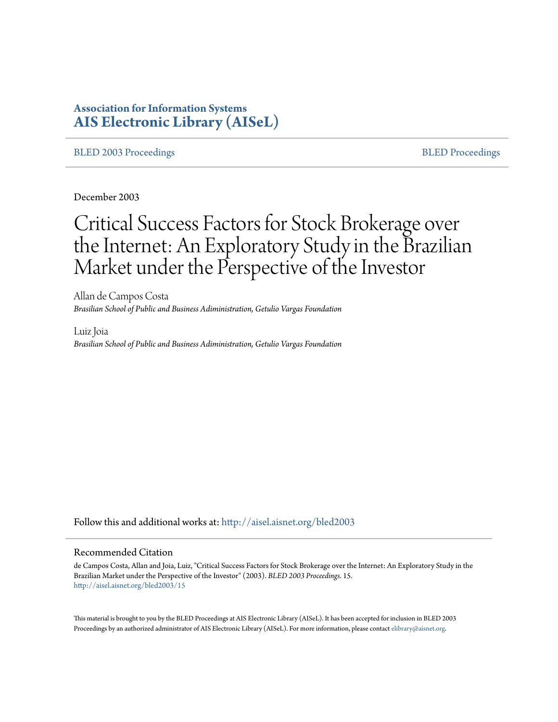# **Association for Information Systems [AIS Electronic Library \(AISeL\)](http://aisel.aisnet.org?utm_source=aisel.aisnet.org%2Fbled2003%2F15&utm_medium=PDF&utm_campaign=PDFCoverPages)**

#### [BLED 2003 Proceedings](http://aisel.aisnet.org/bled2003?utm_source=aisel.aisnet.org%2Fbled2003%2F15&utm_medium=PDF&utm_campaign=PDFCoverPages) and the state of the state of the [BLED Proceedings](http://aisel.aisnet.org/bled?utm_source=aisel.aisnet.org%2Fbled2003%2F15&utm_medium=PDF&utm_campaign=PDFCoverPages) and the BLED Proceedings and the BLED Proceedings and the BLED Proceedings and the BLED Proceedings and the BLED Proceedings and the BLED Proceedings

December 2003

# Critical Success Factors for Stock Brokerage over the Internet: An Exploratory Study in the Brazilian Market under the Perspective of the Investor

Allan de Campos Costa *Brasilian School of Public and Business Adiministration, Getulio Vargas Foundation*

Luiz Joia *Brasilian School of Public and Business Adiministration, Getulio Vargas Foundation*

Follow this and additional works at: [http://aisel.aisnet.org/bled2003](http://aisel.aisnet.org/bled2003?utm_source=aisel.aisnet.org%2Fbled2003%2F15&utm_medium=PDF&utm_campaign=PDFCoverPages)

#### Recommended Citation

de Campos Costa, Allan and Joia, Luiz, "Critical Success Factors for Stock Brokerage over the Internet: An Exploratory Study in the Brazilian Market under the Perspective of the Investor" (2003). *BLED 2003 Proceedings*. 15. [http://aisel.aisnet.org/bled2003/15](http://aisel.aisnet.org/bled2003/15?utm_source=aisel.aisnet.org%2Fbled2003%2F15&utm_medium=PDF&utm_campaign=PDFCoverPages)

This material is brought to you by the BLED Proceedings at AIS Electronic Library (AISeL). It has been accepted for inclusion in BLED 2003 Proceedings by an authorized administrator of AIS Electronic Library (AISeL). For more information, please contact [elibrary@aisnet.org](mailto:elibrary@aisnet.org%3E).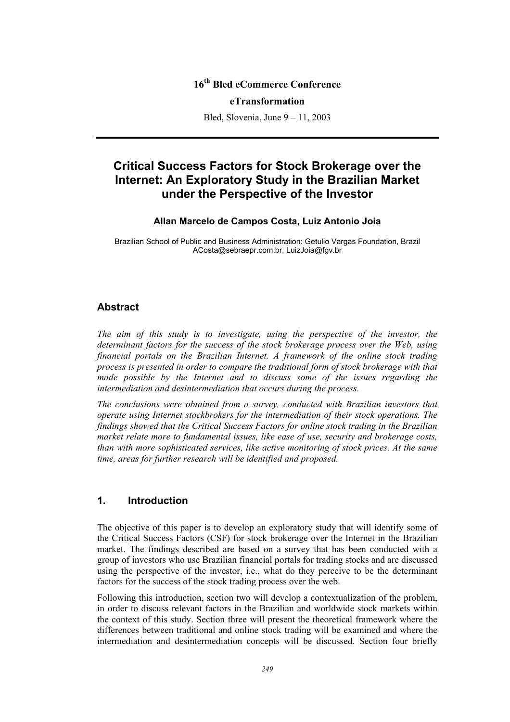# **16th Bled eCommerce Conference**

#### **eTransformation**

Bled, Slovenia, June 9 – 11, 2003

# **Critical Success Factors for Stock Brokerage over the Internet: An Exploratory Study in the Brazilian Market under the Perspective of the Investor**

#### **Allan Marcelo de Campos Costa, Luiz Antonio Joia**

Brazilian School of Public and Business Administration: Getulio Vargas Foundation, Brazil ACosta@sebraepr.com.br, LuizJoia@fgv.br

### **Abstract**

*The aim of this study is to investigate, using the perspective of the investor, the determinant factors for the success of the stock brokerage process over the Web, using financial portals on the Brazilian Internet. A framework of the online stock trading process is presented in order to compare the traditional form of stock brokerage with that made possible by the Internet and to discuss some of the issues regarding the intermediation and desintermediation that occurs during the process.* 

*The conclusions were obtained from a survey, conducted with Brazilian investors that operate using Internet stockbrokers for the intermediation of their stock operations. The findings showed that the Critical Success Factors for online stock trading in the Brazilian market relate more to fundamental issues, like ease of use, security and brokerage costs, than with more sophisticated services, like active monitoring of stock prices. At the same time, areas for further research will be identified and proposed.* 

# **1. Introduction**

The objective of this paper is to develop an exploratory study that will identify some of the Critical Success Factors (CSF) for stock brokerage over the Internet in the Brazilian market. The findings described are based on a survey that has been conducted with a group of investors who use Brazilian financial portals for trading stocks and are discussed using the perspective of the investor, i.e., what do they perceive to be the determinant factors for the success of the stock trading process over the web.

Following this introduction, section two will develop a contextualization of the problem, in order to discuss relevant factors in the Brazilian and worldwide stock markets within the context of this study. Section three will present the theoretical framework where the differences between traditional and online stock trading will be examined and where the intermediation and desintermediation concepts will be discussed. Section four briefly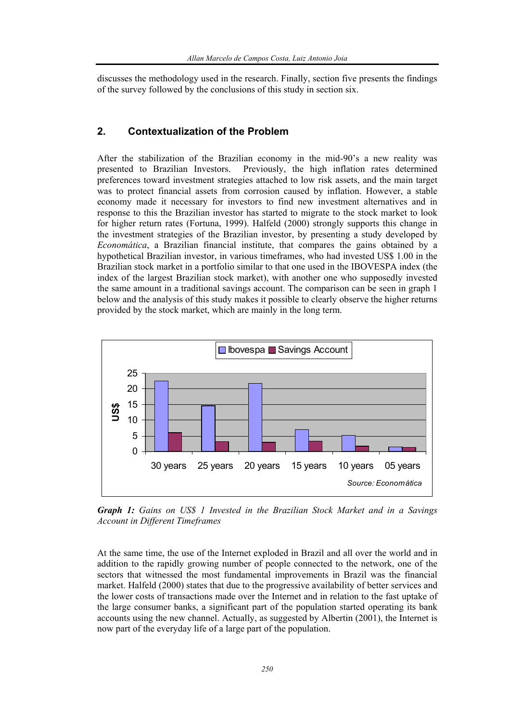discusses the methodology used in the research. Finally, section five presents the findings of the survey followed by the conclusions of this study in section six.

# **2. Contextualization of the Problem**

After the stabilization of the Brazilian economy in the mid-90's a new reality was presented to Brazilian Investors. Previously, the high inflation rates determined preferences toward investment strategies attached to low risk assets, and the main target was to protect financial assets from corrosion caused by inflation. However, a stable economy made it necessary for investors to find new investment alternatives and in response to this the Brazilian investor has started to migrate to the stock market to look for higher return rates (Fortuna, 1999). Halfeld (2000) strongly supports this change in the investment strategies of the Brazilian investor, by presenting a study developed by *Economática*, a Brazilian financial institute, that compares the gains obtained by a hypothetical Brazilian investor, in various timeframes, who had invested US\$ 1.00 in the Brazilian stock market in a portfolio similar to that one used in the IBOVESPA index (the index of the largest Brazilian stock market), with another one who supposedly invested the same amount in a traditional savings account. The comparison can be seen in graph 1 below and the analysis of this study makes it possible to clearly observe the higher returns provided by the stock market, which are mainly in the long term.



*Graph 1: Gains on US\$ 1 Invested in the Brazilian Stock Market and in a Savings Account in Different Timeframes* 

At the same time, the use of the Internet exploded in Brazil and all over the world and in addition to the rapidly growing number of people connected to the network, one of the sectors that witnessed the most fundamental improvements in Brazil was the financial market. Halfeld (2000) states that due to the progressive availability of better services and the lower costs of transactions made over the Internet and in relation to the fast uptake of the large consumer banks, a significant part of the population started operating its bank accounts using the new channel. Actually, as suggested by Albertin (2001), the Internet is now part of the everyday life of a large part of the population.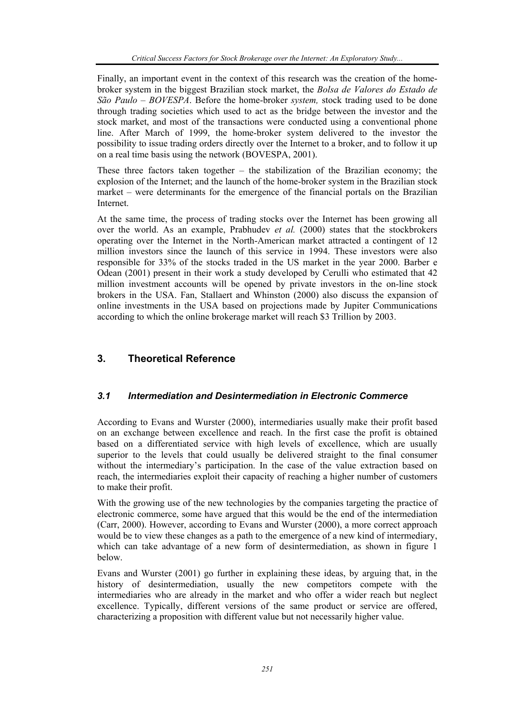Finally, an important event in the context of this research was the creation of the homebroker system in the biggest Brazilian stock market, the *Bolsa de Valores do Estado de São Paulo – BOVESPA*. Before the home-broker *system,* stock trading used to be done through trading societies which used to act as the bridge between the investor and the stock market, and most of the transactions were conducted using a conventional phone line. After March of 1999, the home-broker system delivered to the investor the possibility to issue trading orders directly over the Internet to a broker, and to follow it up on a real time basis using the network (BOVESPA, 2001).

These three factors taken together – the stabilization of the Brazilian economy; the explosion of the Internet; and the launch of the home-broker system in the Brazilian stock market – were determinants for the emergence of the financial portals on the Brazilian Internet.

At the same time, the process of trading stocks over the Internet has been growing all over the world. As an example, Prabhudev *et al.* (2000) states that the stockbrokers operating over the Internet in the North-American market attracted a contingent of 12 million investors since the launch of this service in 1994. These investors were also responsible for 33% of the stocks traded in the US market in the year 2000. Barber e Odean (2001) present in their work a study developed by Cerulli who estimated that 42 million investment accounts will be opened by private investors in the on-line stock brokers in the USA. Fan, Stallaert and Whinston (2000) also discuss the expansion of online investments in the USA based on projections made by Jupiter Communications according to which the online brokerage market will reach \$3 Trillion by 2003.

# **3. Theoretical Reference**

# *3.1 Intermediation and Desintermediation in Electronic Commerce*

According to Evans and Wurster (2000), intermediaries usually make their profit based on an exchange between excellence and reach. In the first case the profit is obtained based on a differentiated service with high levels of excellence, which are usually superior to the levels that could usually be delivered straight to the final consumer without the intermediary's participation. In the case of the value extraction based on reach, the intermediaries exploit their capacity of reaching a higher number of customers to make their profit.

With the growing use of the new technologies by the companies targeting the practice of electronic commerce, some have argued that this would be the end of the intermediation (Carr, 2000). However, according to Evans and Wurster (2000), a more correct approach would be to view these changes as a path to the emergence of a new kind of intermediary, which can take advantage of a new form of desintermediation, as shown in figure 1 below.

Evans and Wurster (2001) go further in explaining these ideas, by arguing that, in the history of desintermediation, usually the new competitors compete with the intermediaries who are already in the market and who offer a wider reach but neglect excellence. Typically, different versions of the same product or service are offered, characterizing a proposition with different value but not necessarily higher value.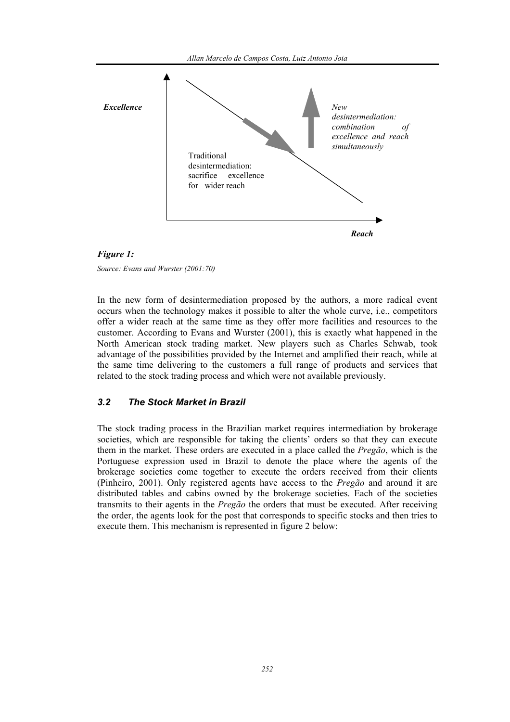





*Source: Evans and Wurster (2001:70)* 

In the new form of desintermediation proposed by the authors, a more radical event occurs when the technology makes it possible to alter the whole curve, i.e., competitors offer a wider reach at the same time as they offer more facilities and resources to the customer. According to Evans and Wurster (2001), this is exactly what happened in the North American stock trading market. New players such as Charles Schwab, took advantage of the possibilities provided by the Internet and amplified their reach, while at the same time delivering to the customers a full range of products and services that related to the stock trading process and which were not available previously.

# *3.2 The Stock Market in Brazil*

The stock trading process in the Brazilian market requires intermediation by brokerage societies, which are responsible for taking the clients' orders so that they can execute them in the market. These orders are executed in a place called the *Pregão*, which is the Portuguese expression used in Brazil to denote the place where the agents of the brokerage societies come together to execute the orders received from their clients (Pinheiro, 2001). Only registered agents have access to the *Pregão* and around it are distributed tables and cabins owned by the brokerage societies. Each of the societies transmits to their agents in the *Pregão* the orders that must be executed. After receiving the order, the agents look for the post that corresponds to specific stocks and then tries to execute them. This mechanism is represented in figure 2 below: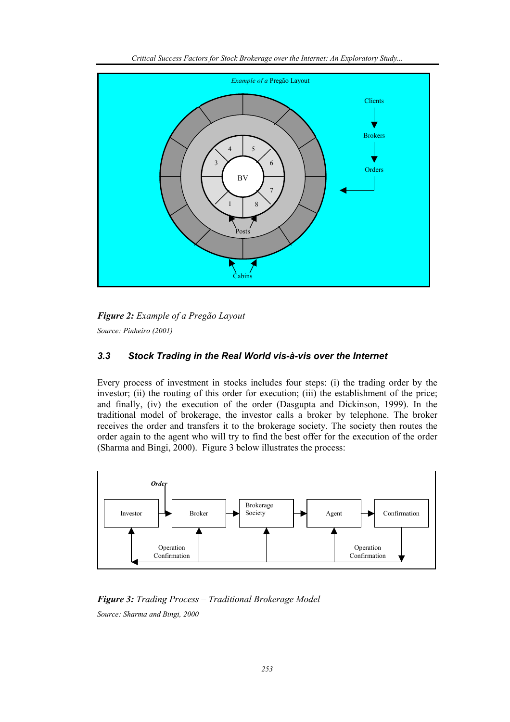





*Source: Pinheiro (2001)*

# *3.3 Stock Trading in the Real World vis-à-vis over the Internet*

Every process of investment in stocks includes four steps: (i) the trading order by the investor; (ii) the routing of this order for execution; (iii) the establishment of the price; and finally, (iv) the execution of the order (Dasgupta and Dickinson, 1999). In the traditional model of brokerage, the investor calls a broker by telephone. The broker receives the order and transfers it to the brokerage society. The society then routes the order again to the agent who will try to find the best offer for the execution of the order (Sharma and Bingi, 2000). Figure 3 below illustrates the process:



*Figure 3: Trading Process – Traditional Brokerage Model Source: Sharma and Bingi, 2000*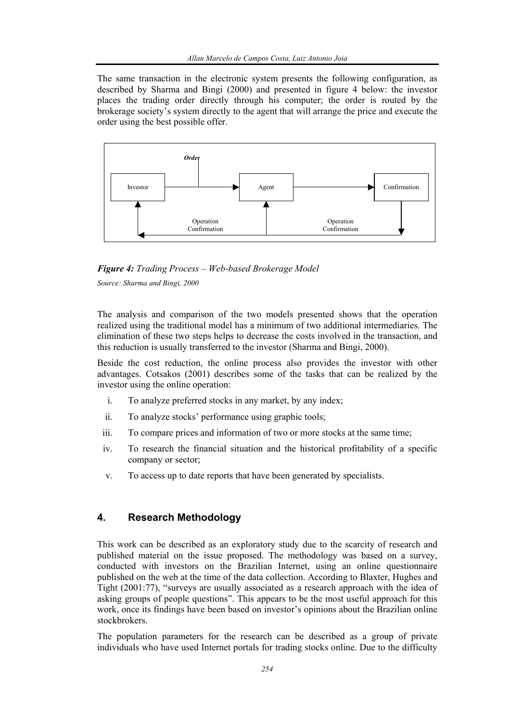The same transaction in the electronic system presents the following configuration, as described by Sharma and Bingi (2000) and presented in figure 4 below: the investor places the trading order directly through his computer; the order is routed by the brokerage society's system directly to the agent that will arrange the price and execute the order using the best possible offer.



*Figure 4: Trading Process – Web-based Brokerage Model* 

*Source: Sharma and Bingi, 2000* 

The analysis and comparison of the two models presented shows that the operation realized using the traditional model has a minimum of two additional intermediaries. The elimination of these two steps helps to decrease the costs involved in the transaction, and this reduction is usually transferred to the investor (Sharma and Bingi, 2000).

Beside the cost reduction, the online process also provides the investor with other advantages. Cotsakos (2001) describes some of the tasks that can be realized by the investor using the online operation:

- i. To analyze preferred stocks in any market, by any index;
- ii. To analyze stocks' performance using graphic tools;
- iii. To compare prices and information of two or more stocks at the same time;
- iv. To research the financial situation and the historical profitability of a specific company or sector;
- v. To access up to date reports that have been generated by specialists.

# **4. Research Methodology**

This work can be described as an exploratory study due to the scarcity of research and published material on the issue proposed. The methodology was based on a survey, conducted with investors on the Brazilian Internet, using an online questionnaire published on the web at the time of the data collection. According to Blaxter, Hughes and Tight (2001:77), "surveys are usually associated as a research approach with the idea of asking groups of people questions". This appears to be the most useful approach for this work, once its findings have been based on investor's opinions about the Brazilian online stockbrokers.

The population parameters for the research can be described as a group of private individuals who have used Internet portals for trading stocks online. Due to the difficulty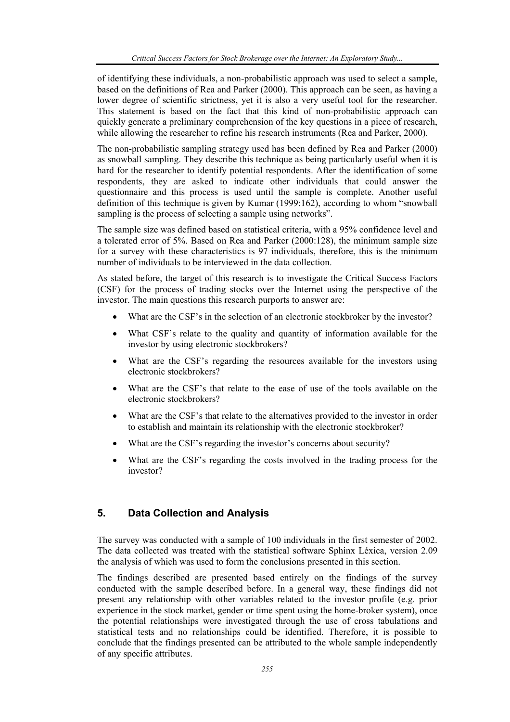of identifying these individuals, a non-probabilistic approach was used to select a sample, based on the definitions of Rea and Parker (2000). This approach can be seen, as having a lower degree of scientific strictness, yet it is also a very useful tool for the researcher. This statement is based on the fact that this kind of non-probabilistic approach can quickly generate a preliminary comprehension of the key questions in a piece of research, while allowing the researcher to refine his research instruments (Rea and Parker, 2000).

The non-probabilistic sampling strategy used has been defined by Rea and Parker (2000) as snowball sampling. They describe this technique as being particularly useful when it is hard for the researcher to identify potential respondents. After the identification of some respondents, they are asked to indicate other individuals that could answer the questionnaire and this process is used until the sample is complete. Another useful definition of this technique is given by Kumar (1999:162), according to whom "snowball sampling is the process of selecting a sample using networks".

The sample size was defined based on statistical criteria, with a 95% confidence level and a tolerated error of 5%. Based on Rea and Parker (2000:128), the minimum sample size for a survey with these characteristics is 97 individuals, therefore, this is the minimum number of individuals to be interviewed in the data collection.

As stated before, the target of this research is to investigate the Critical Success Factors (CSF) for the process of trading stocks over the Internet using the perspective of the investor. The main questions this research purports to answer are:

- What are the CSF's in the selection of an electronic stockbroker by the investor?
- What CSF's relate to the quality and quantity of information available for the investor by using electronic stockbrokers?
- What are the CSF's regarding the resources available for the investors using electronic stockbrokers?
- What are the CSF's that relate to the ease of use of the tools available on the electronic stockbrokers?
- What are the CSF's that relate to the alternatives provided to the investor in order to establish and maintain its relationship with the electronic stockbroker?
- What are the CSF's regarding the investor's concerns about security?
- What are the CSF's regarding the costs involved in the trading process for the investor?

# **5. Data Collection and Analysis**

The survey was conducted with a sample of 100 individuals in the first semester of 2002. The data collected was treated with the statistical software Sphinx Léxica, version 2.09 the analysis of which was used to form the conclusions presented in this section.

The findings described are presented based entirely on the findings of the survey conducted with the sample described before. In a general way, these findings did not present any relationship with other variables related to the investor profile (e.g. prior experience in the stock market, gender or time spent using the home-broker system), once the potential relationships were investigated through the use of cross tabulations and statistical tests and no relationships could be identified. Therefore, it is possible to conclude that the findings presented can be attributed to the whole sample independently of any specific attributes.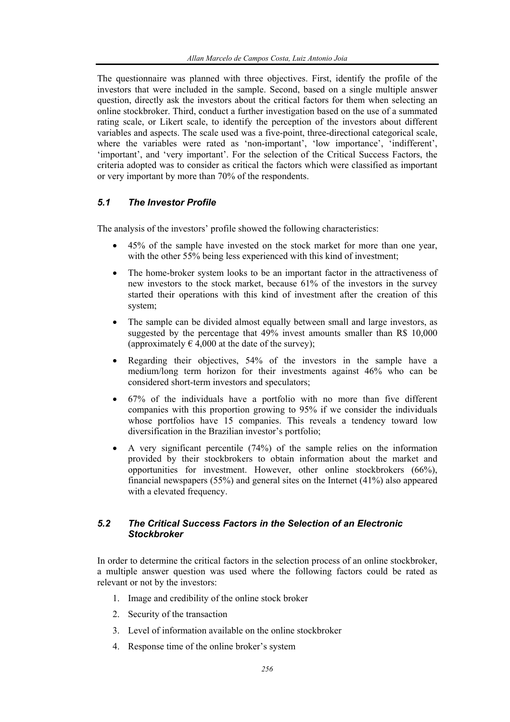The questionnaire was planned with three objectives. First, identify the profile of the investors that were included in the sample. Second, based on a single multiple answer question, directly ask the investors about the critical factors for them when selecting an online stockbroker. Third, conduct a further investigation based on the use of a summated rating scale, or Likert scale, to identify the perception of the investors about different variables and aspects. The scale used was a five-point, three-directional categorical scale, where the variables were rated as 'non-important', 'low importance', 'indifferent', 'important', and 'very important'. For the selection of the Critical Success Factors, the criteria adopted was to consider as critical the factors which were classified as important or very important by more than 70% of the respondents.

# *5.1 The Investor Profile*

The analysis of the investors' profile showed the following characteristics:

- 45% of the sample have invested on the stock market for more than one year, with the other 55% being less experienced with this kind of investment;
- The home-broker system looks to be an important factor in the attractiveness of new investors to the stock market, because 61% of the investors in the survey started their operations with this kind of investment after the creation of this system;
- The sample can be divided almost equally between small and large investors, as suggested by the percentage that 49% invest amounts smaller than R\$ 10,000 (approximately  $\epsilon$  4,000 at the date of the survey);
- Regarding their objectives, 54% of the investors in the sample have a medium/long term horizon for their investments against 46% who can be considered short-term investors and speculators;
- 67% of the individuals have a portfolio with no more than five different companies with this proportion growing to 95% if we consider the individuals whose portfolios have 15 companies. This reveals a tendency toward low diversification in the Brazilian investor's portfolio;
- A very significant percentile (74%) of the sample relies on the information provided by their stockbrokers to obtain information about the market and opportunities for investment. However, other online stockbrokers (66%), financial newspapers (55%) and general sites on the Internet (41%) also appeared with a elevated frequency.

## *5.2 The Critical Success Factors in the Selection of an Electronic Stockbroker*

In order to determine the critical factors in the selection process of an online stockbroker, a multiple answer question was used where the following factors could be rated as relevant or not by the investors:

- 1. Image and credibility of the online stock broker
- 2. Security of the transaction
- 3. Level of information available on the online stockbroker
- 4. Response time of the online broker's system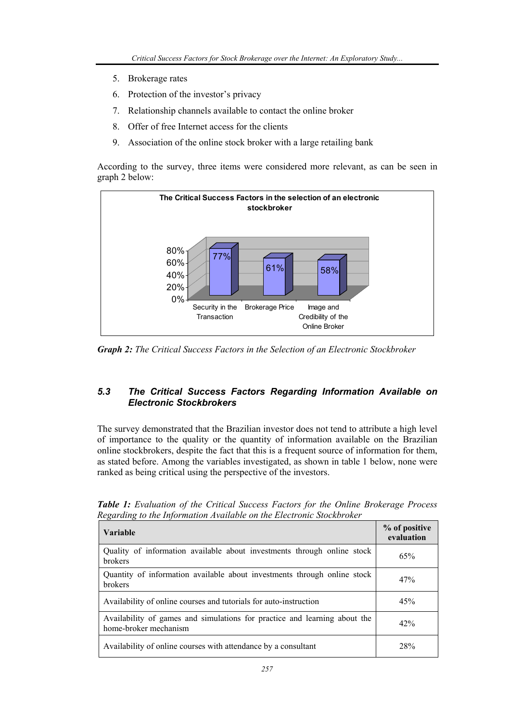- 5. Brokerage rates
- 6. Protection of the investor's privacy
- 7. Relationship channels available to contact the online broker
- 8. Offer of free Internet access for the clients
- 9. Association of the online stock broker with a large retailing bank

According to the survey, three items were considered more relevant, as can be seen in graph 2 below:



*Graph 2: The Critical Success Factors in the Selection of an Electronic Stockbroker* 

# *5.3 The Critical Success Factors Regarding Information Available on Electronic Stockbrokers*

The survey demonstrated that the Brazilian investor does not tend to attribute a high level of importance to the quality or the quantity of information available on the Brazilian online stockbrokers, despite the fact that this is a frequent source of information for them, as stated before. Among the variables investigated, as shown in table 1 below, none were ranked as being critical using the perspective of the investors.

| Variable                                                                                           | % of positive<br>evaluation |
|----------------------------------------------------------------------------------------------------|-----------------------------|
| Quality of information available about investments through online stock<br><b>brokers</b>          | 65%                         |
| Quantity of information available about investments through online stock<br><b>brokers</b>         | 47%                         |
| Availability of online courses and tutorials for auto-instruction                                  | 45%                         |
| Availability of games and simulations for practice and learning about the<br>home-broker mechanism | 42%                         |
| Availability of online courses with attendance by a consultant                                     | 28%                         |

*Table 1: Evaluation of the Critical Success Factors for the Online Brokerage Process Regarding to the Information Available on the Electronic Stockbroker*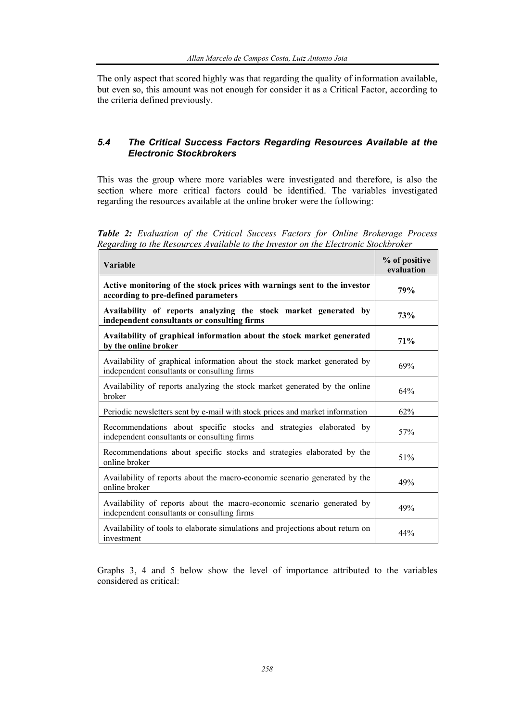The only aspect that scored highly was that regarding the quality of information available, but even so, this amount was not enough for consider it as a Critical Factor, according to the criteria defined previously.

# *5.4 The Critical Success Factors Regarding Resources Available at the Electronic Stockbrokers*

This was the group where more variables were investigated and therefore, is also the section where more critical factors could be identified. The variables investigated regarding the resources available at the online broker were the following:

*Table 2: Evaluation of the Critical Success Factors for Online Brokerage Process Regarding to the Resources Available to the Investor on the Electronic Stockbroker* 

| <b>Variable</b>                                                                                                          | % of positive<br>evaluation |
|--------------------------------------------------------------------------------------------------------------------------|-----------------------------|
| Active monitoring of the stock prices with warnings sent to the investor<br>according to pre-defined parameters          | 79%                         |
| Availability of reports analyzing the stock market generated by<br>independent consultants or consulting firms           | 73%                         |
| Availability of graphical information about the stock market generated<br>by the online broker                           | 71%                         |
| Availability of graphical information about the stock market generated by<br>independent consultants or consulting firms | 69%                         |
| Availability of reports analyzing the stock market generated by the online<br>broker                                     | 64%                         |
| Periodic newsletters sent by e-mail with stock prices and market information                                             | 62%                         |
| Recommendations about specific stocks and strategies elaborated by<br>independent consultants or consulting firms        | 57%                         |
| Recommendations about specific stocks and strategies elaborated by the<br>online broker                                  | 51%                         |
| Availability of reports about the macro-economic scenario generated by the<br>online broker                              | 49%                         |
| Availability of reports about the macro-economic scenario generated by<br>independent consultants or consulting firms    | 49%                         |
| Availability of tools to elaborate simulations and projections about return on<br>investment                             | 44%                         |

Graphs 3, 4 and 5 below show the level of importance attributed to the variables considered as critical: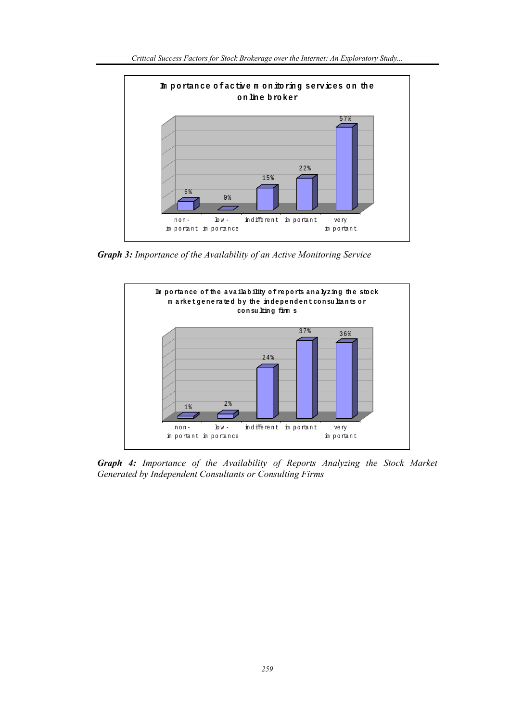

*Graph 3: Importance of the Availability of an Active Monitoring Service* 



*Graph 4: Importance of the Availability of Reports Analyzing the Stock Market Generated by Independent Consultants or Consulting Firms*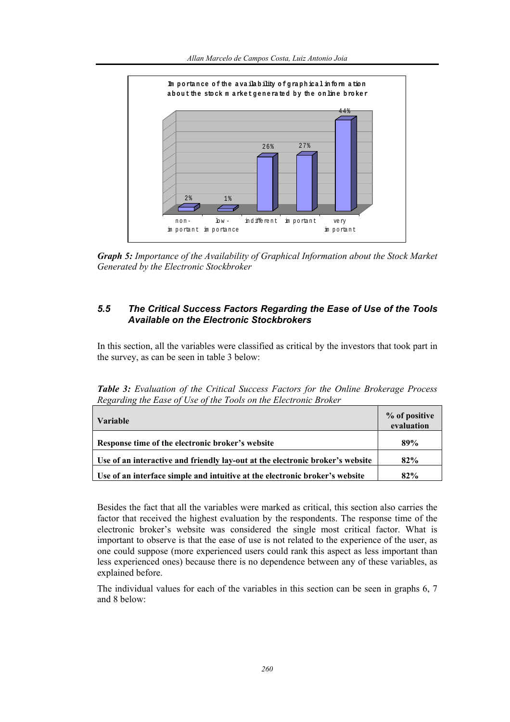

*Graph 5: Importance of the Availability of Graphical Information about the Stock Market Generated by the Electronic Stockbroker* 

# *5.5 The Critical Success Factors Regarding the Ease of Use of the Tools Available on the Electronic Stockbrokers*

In this section, all the variables were classified as critical by the investors that took part in the survey, as can be seen in table 3 below:

*Table 3: Evaluation of the Critical Success Factors for the Online Brokerage Process Regarding the Ease of Use of the Tools on the Electronic Broker*   $\overline{\phantom{a}}$ 

| <b>Variable</b>                                                               | % of positive<br>evaluation |
|-------------------------------------------------------------------------------|-----------------------------|
| Response time of the electronic broker's website                              | 89%                         |
| Use of an interactive and friendly lay-out at the electronic broker's website | 82%                         |
| Use of an interface simple and intuitive at the electronic broker's website   | 82%                         |

Besides the fact that all the variables were marked as critical, this section also carries the factor that received the highest evaluation by the respondents. The response time of the electronic broker's website was considered the single most critical factor. What is important to observe is that the ease of use is not related to the experience of the user, as one could suppose (more experienced users could rank this aspect as less important than less experienced ones) because there is no dependence between any of these variables, as explained before.

The individual values for each of the variables in this section can be seen in graphs 6, 7 and 8 below: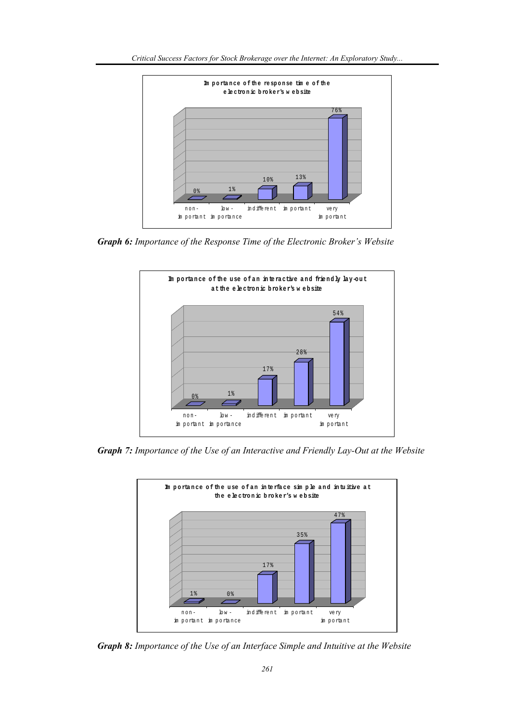

*Graph 6: Importance of the Response Time of the Electronic Broker's Website* 



*Graph 7: Importance of the Use of an Interactive and Friendly Lay-Out at the Website* 



*Graph 8: Importance of the Use of an Interface Simple and Intuitive at the Website*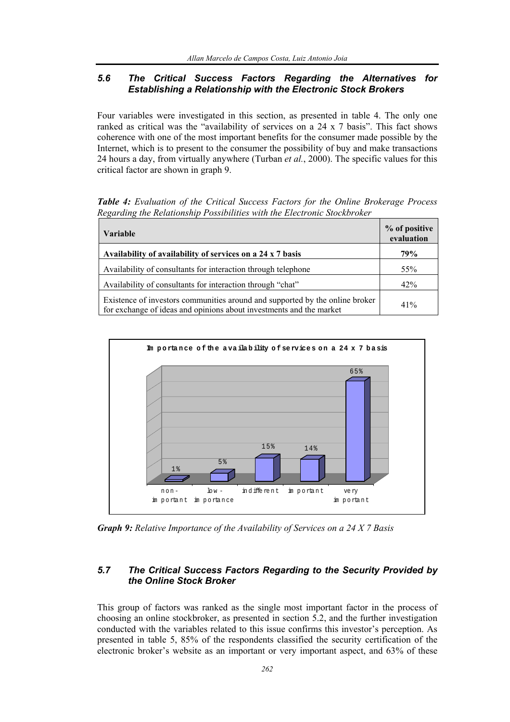## *5.6 The Critical Success Factors Regarding the Alternatives for Establishing a Relationship with the Electronic Stock Brokers*

Four variables were investigated in this section, as presented in table 4. The only one ranked as critical was the "availability of services on a 24 x 7 basis". This fact shows coherence with one of the most important benefits for the consumer made possible by the Internet, which is to present to the consumer the possibility of buy and make transactions 24 hours a day, from virtually anywhere (Turban *et al.*, 2000). The specific values for this critical factor are shown in graph 9.

*Table 4: Evaluation of the Critical Success Factors for the Online Brokerage Process Regarding the Relationship Possibilities with the Electronic Stockbroker* 

| <b>Variable</b>                                                                                                                                     | % of positive<br>evaluation |
|-----------------------------------------------------------------------------------------------------------------------------------------------------|-----------------------------|
| Availability of availability of services on a 24 x 7 basis                                                                                          | 79%                         |
| Availability of consultants for interaction through telephone                                                                                       | 55%                         |
| Availability of consultants for interaction through "chat"                                                                                          | 42%                         |
| Existence of investors communities around and supported by the online broker<br>for exchange of ideas and opinions about investments and the market | 41%                         |



*Graph 9: Relative Importance of the Availability of Services on a 24 X 7 Basis* 

### *5.7 The Critical Success Factors Regarding to the Security Provided by the Online Stock Broker*

This group of factors was ranked as the single most important factor in the process of choosing an online stockbroker, as presented in section 5.2, and the further investigation conducted with the variables related to this issue confirms this investor's perception. As presented in table 5, 85% of the respondents classified the security certification of the electronic broker's website as an important or very important aspect, and 63% of these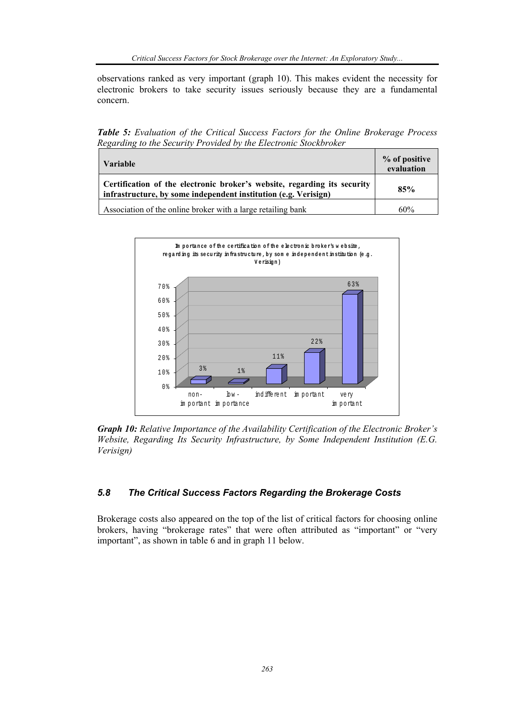observations ranked as very important (graph 10). This makes evident the necessity for electronic brokers to take security issues seriously because they are a fundamental concern.

*Table 5: Evaluation of the Critical Success Factors for the Online Brokerage Process Regarding to the Security Provided by the Electronic Stockbroker* 

| <b>Variable</b>                                                                                                                             | % of positive<br>evaluation |
|---------------------------------------------------------------------------------------------------------------------------------------------|-----------------------------|
| Certification of the electronic broker's website, regarding its security<br>infrastructure, by some independent institution (e.g. Verisign) | 85%                         |
| Association of the online broker with a large retailing bank                                                                                | 60%                         |



*Graph 10: Relative Importance of the Availability Certification of the Electronic Broker's Website, Regarding Its Security Infrastructure, by Some Independent Institution (E.G. Verisign)* 

# *5.8 The Critical Success Factors Regarding the Brokerage Costs*

Brokerage costs also appeared on the top of the list of critical factors for choosing online brokers, having "brokerage rates" that were often attributed as "important" or "very important", as shown in table 6 and in graph 11 below.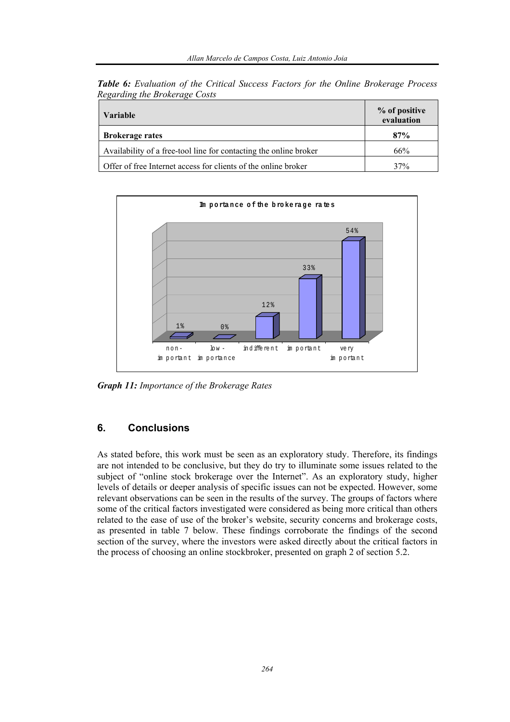| <b>Table 6:</b> Evaluation of the Critical Success Factors for the Online Brokerage Process |  |  |  |  |  |
|---------------------------------------------------------------------------------------------|--|--|--|--|--|
| Regarding the Brokerage Costs                                                               |  |  |  |  |  |

| <b>Variable</b>                                                   | % of positive<br>evaluation |
|-------------------------------------------------------------------|-----------------------------|
| <b>Brokerage rates</b>                                            | 87%                         |
| Availability of a free-tool line for contacting the online broker | 66%                         |
| Offer of free Internet access for clients of the online broker    | 37%                         |



*Graph 11: Importance of the Brokerage Rates* 

# **6. Conclusions**

As stated before, this work must be seen as an exploratory study. Therefore, its findings are not intended to be conclusive, but they do try to illuminate some issues related to the subject of "online stock brokerage over the Internet". As an exploratory study, higher levels of details or deeper analysis of specific issues can not be expected. However, some relevant observations can be seen in the results of the survey. The groups of factors where some of the critical factors investigated were considered as being more critical than others related to the ease of use of the broker's website, security concerns and brokerage costs, as presented in table 7 below. These findings corroborate the findings of the second section of the survey, where the investors were asked directly about the critical factors in the process of choosing an online stockbroker, presented on graph 2 of section 5.2.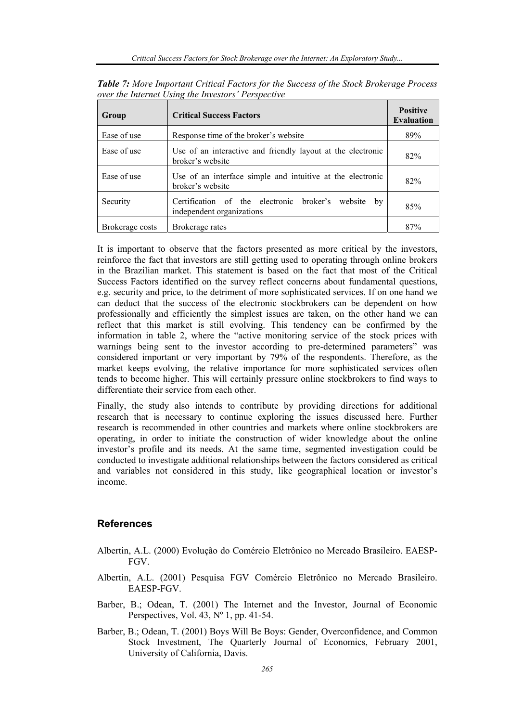| Group           | <b>Critical Success Factors</b>                                                     | <b>Positive</b><br><b>Evaluation</b> |
|-----------------|-------------------------------------------------------------------------------------|--------------------------------------|
| Ease of use     | Response time of the broker's website                                               | 89%                                  |
| Ease of use     | Use of an interactive and friendly layout at the electronic<br>broker's website     | 82%                                  |
| Ease of use     | Use of an interface simple and intuitive at the electronic<br>broker's website      | 82%                                  |
| Security        | Certification of the electronic broker's website<br>by<br>independent organizations | 85%                                  |
| Brokerage costs | Brokerage rates                                                                     | 87%                                  |

*Table 7: More Important Critical Factors for the Success of the Stock Brokerage Process over the Internet Using the Investors' Perspective*

It is important to observe that the factors presented as more critical by the investors, reinforce the fact that investors are still getting used to operating through online brokers in the Brazilian market. This statement is based on the fact that most of the Critical Success Factors identified on the survey reflect concerns about fundamental questions, e.g. security and price, to the detriment of more sophisticated services. If on one hand we can deduct that the success of the electronic stockbrokers can be dependent on how professionally and efficiently the simplest issues are taken, on the other hand we can reflect that this market is still evolving. This tendency can be confirmed by the information in table 2, where the "active monitoring service of the stock prices with warnings being sent to the investor according to pre-determined parameters" was considered important or very important by 79% of the respondents. Therefore, as the market keeps evolving, the relative importance for more sophisticated services often tends to become higher. This will certainly pressure online stockbrokers to find ways to differentiate their service from each other.

Finally, the study also intends to contribute by providing directions for additional research that is necessary to continue exploring the issues discussed here. Further research is recommended in other countries and markets where online stockbrokers are operating, in order to initiate the construction of wider knowledge about the online investor's profile and its needs. At the same time, segmented investigation could be conducted to investigate additional relationships between the factors considered as critical and variables not considered in this study, like geographical location or investor's income.

# **References**

- Albertin, A.L. (2000) Evolução do Comércio Eletrônico no Mercado Brasileiro. EAESP-FGV.
- Albertin, A.L. (2001) Pesquisa FGV Comércio Eletrônico no Mercado Brasileiro. EAESP-FGV.
- Barber, B.; Odean, T. (2001) The Internet and the Investor, Journal of Economic Perspectives, Vol. 43,  $N^{\circ}$  1, pp. 41-54.
- Barber, B.; Odean, T. (2001) Boys Will Be Boys: Gender, Overconfidence, and Common Stock Investment, The Quarterly Journal of Economics, February 2001, University of California, Davis.